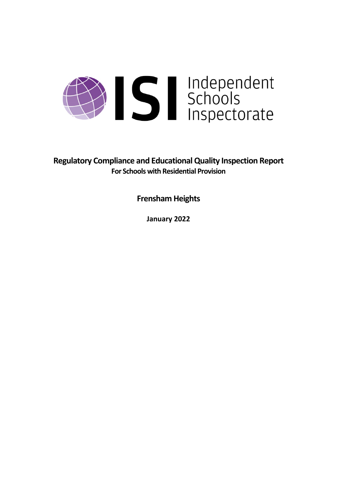

**Regulatory Compliance and EducationalQuality Inspection Report For Schools with Residential Provision**

**Frensham Heights**

**January 2022**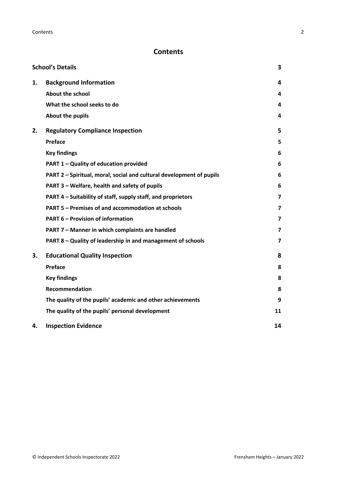# **Contents**

|    | <b>School's Details</b>                                              | 3  |
|----|----------------------------------------------------------------------|----|
| 1. | <b>Background Information</b>                                        | 4  |
|    | <b>About the school</b>                                              | 4  |
|    | What the school seeks to do                                          | 4  |
|    | About the pupils                                                     | 4  |
| 2. | <b>Regulatory Compliance Inspection</b>                              | 5  |
|    | Preface                                                              | 5  |
|    | <b>Key findings</b>                                                  | 6  |
|    | PART 1 - Quality of education provided                               | 6  |
|    | PART 2 - Spiritual, moral, social and cultural development of pupils | 6  |
|    | PART 3 - Welfare, health and safety of pupils                        | 6  |
|    | PART 4 – Suitability of staff, supply staff, and proprietors         | 7  |
|    | PART 5 - Premises of and accommodation at schools                    | 7  |
|    | <b>PART 6 - Provision of information</b>                             | 7  |
|    | PART 7 - Manner in which complaints are handled                      | 7  |
|    | PART 8 - Quality of leadership in and management of schools          | 7  |
| 3. | <b>Educational Quality Inspection</b>                                | 8  |
|    | Preface                                                              | 8  |
|    | <b>Key findings</b>                                                  | 8  |
|    | <b>Recommendation</b>                                                | 8  |
|    | The quality of the pupils' academic and other achievements           | 9  |
|    | The quality of the pupils' personal development                      | 11 |
| 4. | <b>Inspection Evidence</b>                                           | 14 |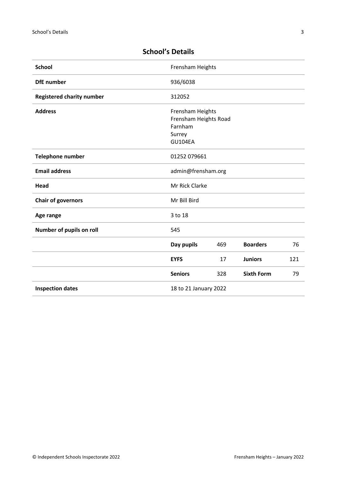| <b>School</b>                    | Frensham Heights                                                                 |     |                   |     |
|----------------------------------|----------------------------------------------------------------------------------|-----|-------------------|-----|
| <b>DfE</b> number                | 936/6038                                                                         |     |                   |     |
| <b>Registered charity number</b> | 312052                                                                           |     |                   |     |
| <b>Address</b>                   | Frensham Heights<br>Frensham Heights Road<br>Farnham<br>Surrey<br><b>GU104EA</b> |     |                   |     |
| <b>Telephone number</b>          | 01252 079661                                                                     |     |                   |     |
| <b>Email address</b>             | admin@frensham.org                                                               |     |                   |     |
| Head                             | Mr Rick Clarke                                                                   |     |                   |     |
| <b>Chair of governors</b>        | Mr Bill Bird                                                                     |     |                   |     |
| Age range                        | 3 to 18                                                                          |     |                   |     |
| Number of pupils on roll         | 545                                                                              |     |                   |     |
|                                  | Day pupils                                                                       | 469 | <b>Boarders</b>   | 76  |
|                                  | <b>EYFS</b>                                                                      | 17  | <b>Juniors</b>    | 121 |
|                                  | <b>Seniors</b>                                                                   | 328 | <b>Sixth Form</b> | 79  |
| <b>Inspection dates</b>          | 18 to 21 January 2022                                                            |     |                   |     |

# <span id="page-2-0"></span>**School's Details**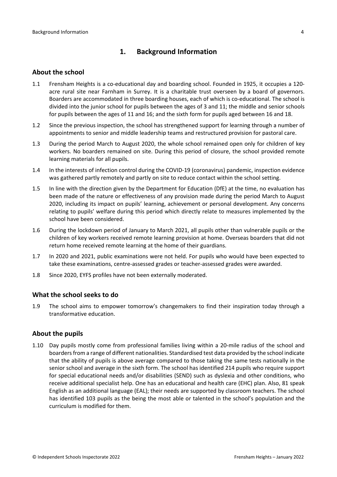# <span id="page-3-0"></span>**1. Background Information**

#### <span id="page-3-1"></span>**About the school**

- 1.1 Frensham Heights is a co-educational day and boarding school. Founded in 1925, it occupies a 120 acre rural site near Farnham in Surrey. It is a charitable trust overseen by a board of governors. Boarders are accommodated in three boarding houses, each of which is co-educational. The school is divided into the junior school for pupils between the ages of 3 and 11; the middle and senior schools for pupils between the ages of 11 and 16; and the sixth form for pupils aged between 16 and 18.
- 1.2 Since the previous inspection, the school has strengthened support for learning through a number of appointments to senior and middle leadership teams and restructured provision for pastoral care.
- 1.3 During the period March to August 2020, the whole school remained open only for children of key workers. No boarders remained on site. During this period of closure, the school provided remote learning materials for all pupils.
- 1.4 In the interests of infection control during the COVID-19 (coronavirus) pandemic, inspection evidence was gathered partly remotely and partly on site to reduce contact within the school setting.
- 1.5 In line with the direction given by the Department for Education (DfE) at the time, no evaluation has been made of the nature or effectiveness of any provision made during the period March to August 2020, including its impact on pupils' learning, achievement or personal development. Any concerns relating to pupils' welfare during this period which directly relate to measures implemented by the school have been considered.
- 1.6 During the lockdown period of January to March 2021, all pupils other than vulnerable pupils or the children of key workers received remote learning provision at home. Overseas boarders that did not return home received remote learning at the home of their guardians.
- 1.7 In 2020 and 2021, public examinations were not held. For pupils who would have been expected to take these examinations, centre-assessed grades or teacher-assessed grades were awarded.
- 1.8 Since 2020, EYFS profiles have not been externally moderated.

### <span id="page-3-2"></span>**What the school seeks to do**

1.9 The school aims to empower tomorrow's changemakers to find their inspiration today through a transformative education.

#### <span id="page-3-3"></span>**About the pupils**

1.10 Day pupils mostly come from professional families living within a 20-mile radius of the school and boardersfrom a range of different nationalities. Standardised test data provided by the school indicate that the ability of pupils is above average compared to those taking the same tests nationally in the senior school and average in the sixth form. The school has identified 214 pupils who require support for special educational needs and/or disabilities (SEND) such as dyslexia and other conditions, who receive additional specialist help. One has an educational and health care (EHC) plan. Also, 81 speak English as an additional language (EAL); their needs are supported by classroom teachers. The school has identified 103 pupils as the being the most able or talented in the school's population and the curriculum is modified for them.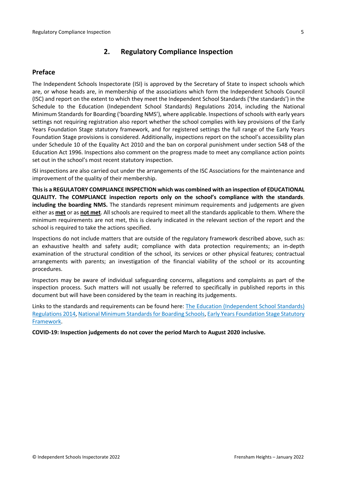# <span id="page-4-0"></span>**2. Regulatory Compliance Inspection**

### <span id="page-4-1"></span>**Preface**

The Independent Schools Inspectorate (ISI) is approved by the Secretary of State to inspect schools which are, or whose heads are, in membership of the associations which form the Independent Schools Council (ISC) and report on the extent to which they meet the Independent School Standards ('the standards') in the Schedule to the Education (Independent School Standards) Regulations 2014, including the National Minimum Standards for Boarding ('boarding NMS'), where applicable. Inspections ofschools with early years settings not requiring registration also report whether the school complies with key provisions of the Early Years Foundation Stage statutory framework, and for registered settings the full range of the Early Years Foundation Stage provisions is considered. Additionally, inspections report on the school's accessibility plan under Schedule 10 of the Equality Act 2010 and the ban on corporal punishment under section 548 of the Education Act 1996. Inspections also comment on the progress made to meet any compliance action points set out in the school's most recent statutory inspection.

ISI inspections are also carried out under the arrangements of the ISC Associations for the maintenance and improvement of the quality of their membership.

**Thisis a REGULATORY COMPLIANCE INSPECTION which was combined with an inspection of EDUCATIONAL QUALITY. The COMPLIANCE inspection reports only on the school's compliance with the standards**, **including the boarding NMS.** The standards represent minimum requirements and judgements are given either as **met** or as **not met**. All schools are required to meet all the standards applicable to them. Where the minimum requirements are not met, this is clearly indicated in the relevant section of the report and the school is required to take the actions specified.

Inspections do not include matters that are outside of the regulatory framework described above, such as: an exhaustive health and safety audit; compliance with data protection requirements; an in-depth examination of the structural condition of the school, its services or other physical features; contractual arrangements with parents; an investigation of the financial viability of the school or its accounting procedures.

Inspectors may be aware of individual safeguarding concerns, allegations and complaints as part of the inspection process. Such matters will not usually be referred to specifically in published reports in this document but will have been considered by the team in reaching its judgements.

Links to the standards and requirements can be found here: The Education [\(Independent](http://www.legislation.gov.uk/uksi/2014/3283/contents/made) School Standards) [Regulations](http://www.legislation.gov.uk/uksi/2014/3283/contents/made) 2014, National Minimum Standards for Boarding Schools, Early Years [Foundation](https://www.gov.uk/government/publications/early-years-foundation-stage-framework--2) Stage Statutory [Framework.](https://www.gov.uk/government/publications/early-years-foundation-stage-framework--2)

**COVID-19: Inspection judgements do not cover the period March to August 2020 inclusive.**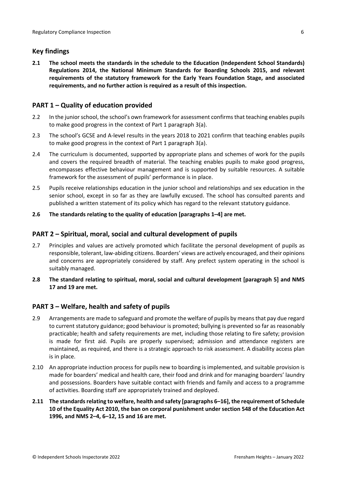# <span id="page-5-0"></span>**Key findings**

**2.1 The school meets the standards in the schedule to the Education (Independent School Standards) Regulations 2014, the National Minimum Standards for Boarding Schools 2015, and relevant requirements of the statutory framework for the Early Years Foundation Stage, and associated requirements, and no further action is required as a result of this inspection.**

# <span id="page-5-1"></span>**PART 1 – Quality of education provided**

- 2.2 In the junior school, the school's own framework for assessment confirms that teaching enables pupils to make good progress in the context of Part 1 paragraph 3(a).
- 2.3 The school's GCSE and A-level results in the years 2018 to 2021 confirm that teaching enables pupils to make good progress in the context of Part 1 paragraph 3(a).
- 2.4 The curriculum is documented, supported by appropriate plans and schemes of work for the pupils and covers the required breadth of material. The teaching enables pupils to make good progress, encompasses effective behaviour management and is supported by suitable resources. A suitable framework for the assessment of pupils' performance is in place.
- 2.5 Pupils receive relationships education in the junior school and relationships and sex education in the senior school, except in so far as they are lawfully excused. The school has consulted parents and published a written statement of its policy which has regard to the relevant statutory guidance.

### **2.6 The standards relating to the quality of education [paragraphs 1–4] are met.**

### <span id="page-5-2"></span>**PART 2 – Spiritual, moral, social and cultural development of pupils**

- 2.7 Principles and values are actively promoted which facilitate the personal development of pupils as responsible, tolerant, law-abiding citizens. Boarders' views are actively encouraged, and their opinions and concerns are appropriately considered by staff. Any prefect system operating in the school is suitably managed.
- **2.8 The standard relating to spiritual, moral, social and cultural development [paragraph 5] and NMS 17 and 19 are met.**

### <span id="page-5-3"></span>**PART 3 – Welfare, health and safety of pupils**

- 2.9 Arrangements are made to safeguard and promote the welfare of pupils by meansthat pay due regard to current statutory guidance; good behaviour is promoted; bullying is prevented so far as reasonably practicable; health and safety requirements are met, including those relating to fire safety; provision is made for first aid. Pupils are properly supervised; admission and attendance registers are maintained, as required, and there is a strategic approach to risk assessment. A disability access plan is in place.
- 2.10 An appropriate induction process for pupils new to boarding is implemented, and suitable provision is made for boarders' medical and health care, their food and drink and for managing boarders' laundry and possessions. Boarders have suitable contact with friends and family and access to a programme of activities. Boarding staff are appropriately trained and deployed.
- **2.11 The standardsrelating to welfare, health and safety [paragraphs 6–16], the requirement of Schedule 10 of the Equality Act 2010, the ban on corporal punishment under section 548 of the Education Act 1996, and NMS 2–4, 6–12, 15 and 16 are met.**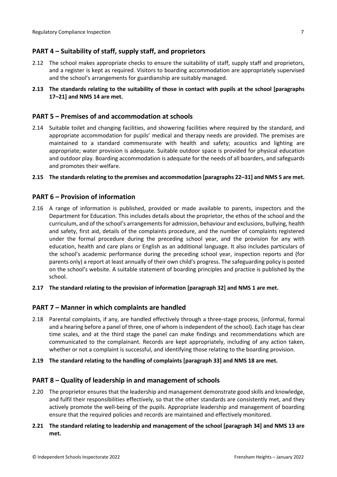# <span id="page-6-0"></span>**PART 4 – Suitability of staff, supply staff, and proprietors**

- 2.12 The school makes appropriate checks to ensure the suitability of staff, supply staff and proprietors, and a register is kept as required. Visitors to boarding accommodation are appropriately supervised and the school's arrangements for guardianship are suitably managed.
- **2.13 The standards relating to the suitability of those in contact with pupils at the school [paragraphs 17–21] and NMS 14 are met.**

### <span id="page-6-1"></span>**PART 5 – Premises of and accommodation at schools**

2.14 Suitable toilet and changing facilities, and showering facilities where required by the standard, and appropriate accommodation for pupils' medical and therapy needs are provided. The premises are maintained to a standard commensurate with health and safety; acoustics and lighting are appropriate; water provision is adequate. Suitable outdoor space is provided for physical education and outdoor play. Boarding accommodation is adequate for the needs of all boarders, and safeguards and promotes their welfare.

#### **2.15 The standardsrelating to the premises and accommodation [paragraphs 22–31] and NMS 5 are met.**

### <span id="page-6-2"></span>**PART 6 – Provision of information**

- 2.16 A range of information is published, provided or made available to parents, inspectors and the Department for Education. This includes details about the proprietor, the ethos of the school and the curriculum, and of the school's arrangementsfor admission, behaviour and exclusions, bullying, health and safety, first aid, details of the complaints procedure, and the number of complaints registered under the formal procedure during the preceding school year, and the provision for any with education, health and care plans or English as an additional language. It also includes particulars of the school's academic performance during the preceding school year, inspection reports and (for parents only) a report at least annually of their own child's progress. The safeguarding policy is posted on the school's website. A suitable statement of boarding principles and practice is published by the school.
- **2.17 The standard relating to the provision of information [paragraph 32] and NMS 1 are met.**

#### <span id="page-6-3"></span>**PART 7 – Manner in which complaints are handled**

- 2.18 Parental complaints, if any, are handled effectively through a three-stage process, (informal, formal and a hearing before a panel of three, one of whom is independent of the school). Each stage has clear time scales, and at the third stage the panel can make findings and recommendations which are communicated to the complainant. Records are kept appropriately, including of any action taken, whether or not a complaint is successful, and identifying those relating to the boarding provision.
- **2.19 The standard relating to the handling of complaints [paragraph 33] and NMS 18 are met.**

#### <span id="page-6-4"></span>**PART 8 – Quality of leadership in and management of schools**

- 2.20 The proprietor ensures that the leadership and management demonstrate good skills and knowledge, and fulfil their responsibilities effectively, so that the other standards are consistently met, and they actively promote the well-being of the pupils. Appropriate leadership and management of boarding ensure that the required policies and records are maintained and effectively monitored.
- **2.21 The standard relating to leadership and management of the school [paragraph 34] and NMS 13 are met.**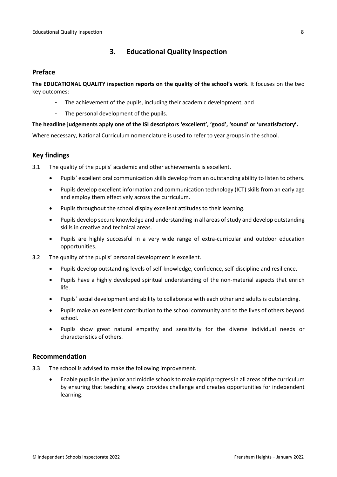# <span id="page-7-0"></span>**3. Educational Quality Inspection**

### <span id="page-7-1"></span>**Preface**

**The EDUCATIONAL QUALITY inspection reports on the quality of the school's work**. It focuses on the two key outcomes:

- The achievement of the pupils, including their academic development, and
- The personal development of the pupils.

### **The headline judgements apply one of the ISI descriptors 'excellent', 'good', 'sound' or 'unsatisfactory'.**

Where necessary, National Curriculum nomenclature is used to refer to year groups in the school.

## <span id="page-7-2"></span>**Key findings**

3.1 The quality of the pupils' academic and other achievements is excellent.

- Pupils' excellent oral communication skills develop from an outstanding ability to listen to others.
- Pupils develop excellent information and communication technology (ICT) skills from an early age and employ them effectively across the curriculum.
- Pupils throughout the school display excellent attitudes to their learning.
- Pupils develop secure knowledge and understanding in all areas of study and develop outstanding skills in creative and technical areas.
- Pupils are highly successful in a very wide range of extra-curricular and outdoor education opportunities.
- 3.2 The quality of the pupils' personal development is excellent.
	- Pupils develop outstanding levels of self-knowledge, confidence, self-discipline and resilience.
	- Pupils have a highly developed spiritual understanding of the non-material aspects that enrich life.
	- Pupils' social development and ability to collaborate with each other and adults is outstanding.
	- Pupils make an excellent contribution to the school community and to the lives of others beyond school.
	- Pupils show great natural empathy and sensitivity for the diverse individual needs or characteristics of others.

#### <span id="page-7-3"></span>**Recommendation**

- 3.3 The school is advised to make the following improvement.
	- Enable pupils in the junior and middle schools to make rapid progress in all areas of the curriculum by ensuring that teaching always provides challenge and creates opportunities for independent learning.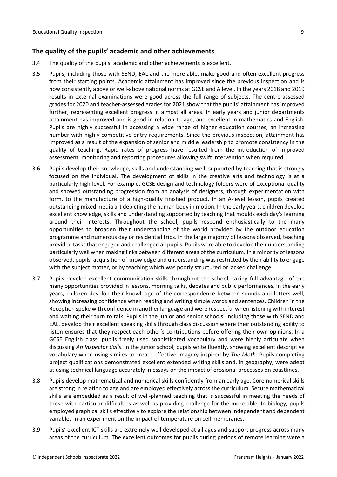### <span id="page-8-0"></span>**The quality of the pupils' academic and other achievements**

- 3.4 The quality of the pupils' academic and other achievements is excellent.
- 3.5 Pupils, including those with SEND, EAL and the more able, make good and often excellent progress from their starting points. Academic attainment has improved since the previous inspection and is now consistently above or well-above national norms at GCSE and A level. In the years 2018 and 2019 results in external examinations were good across the full range of subjects. The centre-assessed grades for 2020 and teacher-assessed grades for 2021 show that the pupils' attainment has improved further, representing excellent progress in almost all areas. In early years and junior departments attainment has improved and is good in relation to age, and excellent in mathematics and English. Pupils are highly successful in accessing a wide range of higher education courses, an increasing number with highly competitive entry requirements. Since the previous inspection, attainment has improved as a result of the expansion of senior and middle leadership to promote consistency in the quality of teaching. Rapid rates of progress have resulted from the introduction of improved assessment, monitoring and reporting procedures allowing swift intervention when required.
- 3.6 Pupils develop their knowledge, skills and understanding well, supported by teaching that is strongly focused on the individual. The development of skills in the creative arts and technology is at a particularly high level. For example, GCSE design and technology folders were of exceptional quality and showed outstanding progression from an analysis of designers, through experimentation with form, to the manufacture of a high-quality finished product. In an A-level lesson, pupils created outstanding mixed media art depicting the human body in motion. In the early years, children develop excellent knowledge, skills and understanding supported by teaching that moulds each day's learning around their interests. Throughout the school, pupils respond enthusiastically to the many opportunities to broaden their understanding of the world provided by the outdoor education programme and numerous day or residential trips. In the large majority of lessons observed, teaching provided tasksthat engaged and challenged all pupils. Pupils were able to develop their understanding particularly well when making links between different areas of the curriculum. In a minority of lessons observed, pupils' acquisition of knowledge and understanding wasrestricted by their ability to engage with the subject matter, or by teaching which was poorly structured or lacked challenge.
- 3.7 Pupils develop excellent communication skills throughout the school, taking full advantage of the many opportunities provided in lessons, morning talks, debates and public performances. In the early years, children develop their knowledge of the correspondence between sounds and letters well, showing increasing confidence when reading and writing simple words and sentences. Children in the Reception spoke with confidence in another language and were respectful when listening with interest and waiting their turn to talk. Pupils in the junior and senior schools, including those with SEND and EAL, develop their excellent speaking skills through class discussion where their outstanding ability to listen ensures that they respect each other's contributions before offering their own opinions. In a GCSE English class, pupils freely used sophisticated vocabulary and were highly articulate when discussing *An Inspector Calls*. In the junior school, pupils write fluently, showing excellent descriptive vocabulary when using similes to create effective imagery inspired by *The Moth.* Pupils completing project qualifications demonstrated excellent extended writing skills and, in geography, were adept at using technical language accurately in essays on the impact of erosional processes on coastlines.
- 3.8 Pupils develop mathematical and numerical skills confidently from an early age. Core numerical skills are strong in relation to age and are employed effectively across the curriculum. Secure mathematical skills are embedded as a result of well-planned teaching that is successful in meeting the needs of those with particular difficulties as well as providing challenge for the more able. In biology, pupils employed graphical skills effectively to explore the relationship between independent and dependent variables in an experiment on the impact of temperature on cell membranes.
- 3.9 Pupils' excellent ICT skills are extremely well developed at all ages and support progress across many areas of the curriculum. The excellent outcomes for pupils during periods of remote learning were a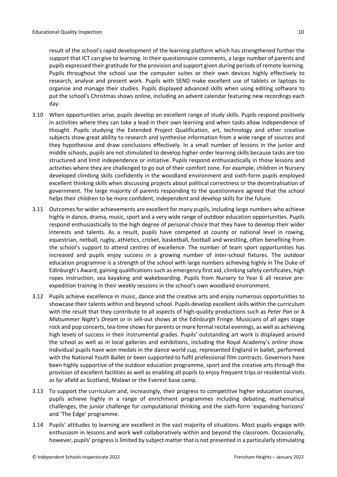result of the school's rapid development of the learning platform which has strengthened further the support that ICT can give to learning. In their questionnaire comments, a large number of parents and pupils expressed their gratitude for the provision and support given during periods of remote learning. Pupils throughout the school use the computer suites or their own devices highly effectively to research, analyse and present work. Pupils with SEND make excellent use of tablets or laptops to organise and manage their studies. Pupils displayed advanced skills when using editing software to put the school's Christmas shows online, including an advent calendar featuring new recordings each day.

- 3.10 When opportunities arise, pupils develop an excellent range of study skills. Pupils respond positively in activities where they can take a lead in their own learning and when tasks allow independence of thought. Pupils studying the Extended Project Qualification, art, technology and other creative subjects show great ability to research and synthesise information from a wide range of sources and they hypothesise and draw conclusions effectively. In a small number of lessons in the junior and middle schools, pupils are not stimulated to develop higher-order learning skills because tasks are too structured and limit independence or initiative. Pupils respond enthusiastically in those lessons and activities where they are challenged to go out of their comfort zone. For example, children in Nursery developed climbing skills confidently in the woodland environment and sixth-form pupils employed excellent thinking skills when discussing projects about political correctness or the decentralisation of government. The large majority of parents responding to the questionnaire agreed that the school helps their children to be more confident, independent and develop skills for the future.
- 3.11 Outcomesfor wider achievements are excellent for many pupils, including large numbers who achieve highly in dance, drama, music, sport and a very wide range of outdoor education opportunities. Pupils respond enthusiastically to the high degree of personal choice that they have to develop their wider interests and talents. As a result, pupils have competed at county or national level in rowing, equestrian, netball, rugby, athletics, cricket, basketball, football and wrestling, often benefiting from the school's support to attend centres of excellence. The number of team sport opportunities has increased and pupils enjoy success in a growing number of inter-school fixtures. The outdoor education programme is a strength of the school with large numbers achieving highly in The Duke of Edinburgh's Award, gaining qualifications such as emergency first aid, climbing safety certificates, high ropes instruction, sea kayaking and wakeboarding. Pupils from Nursery to Year 6 all receive preexpedition training in their weekly sessions in the school's own woodland environment.
- 3.12 Pupils achieve excellence in music, dance and the creative arts and enjoy numerous opportunities to showcase their talents within and beyond school. Pupils develop excellent skills within the curriculum with the result that they contribute to all aspects of high-quality productions such as *Peter Pan* or A *Midsummer Night's Dream* or in sell-out shows at the Edinburgh Fringe. Musicians of all ages stage rock and pop concerts, tea-time shows for parents or more formal recital evenings, as well as achieving high levels of success in their instrumental grades. Pupils' outstanding art work is displayed around the school as well as in local galleries and exhibitions, including the Royal Academy's online show. Individual pupils have won medals in the dance world cup, represented England in ballet, performed with the National Youth Ballet or been supported to fulfil professional film contracts. Governors have been highly supportive of the outdoor education programme, sport and the creative arts through the provision of excellent facilities as well as enabling all pupils to enjoy frequent trips or residential visits as far afield as Scotland, Malawi or the Everest base camp.
- 3.13 To support the curriculum and, increasingly, their progress to competitive higher education courses, pupils achieve highly in a range of enrichment programmes including debating, mathematical challenges, the junior challenge for computational thinking and the sixth-form 'expanding horizons' and 'The Edge' programme.
- 3.14 Pupils' attitudes to learning are excellent in the vast majority of situations. Most pupils engage with enthusiasm in lessons and work well collaboratively within and beyond the classroom. Occasionally, however, pupils' progress is limited by subject matter that is not presented in a particularly stimulating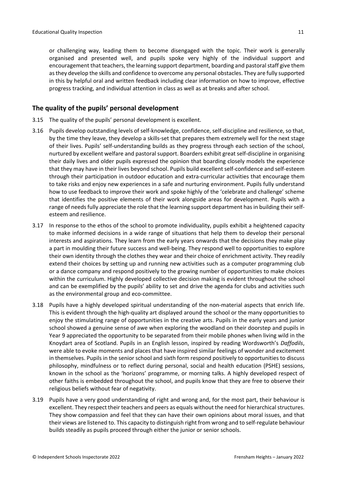or challenging way, leading them to become disengaged with the topic. Their work is generally organised and presented well, and pupils spoke very highly of the individual support and encouragement that teachers, the learning support department, boarding and pastoral staff give them asthey develop the skills and confidence to overcome any personal obstacles. They are fully supported in this by helpful oral and written feedback including clear information on how to improve, effective progress tracking, and individual attention in class as well as at breaks and after school.

# <span id="page-10-0"></span>**The quality of the pupils' personal development**

- 3.15 The quality of the pupils' personal development is excellent.
- 3.16 Pupils develop outstanding levels of self-knowledge, confidence, self-discipline and resilience, so that, by the time they leave, they develop a skills-set that prepares them extremely well for the next stage of their lives. Pupils' self-understanding builds as they progress through each section of the school, nurtured by excellent welfare and pastoral support. Boarders exhibit great self-discipline in organising their daily lives and older pupils expressed the opinion that boarding closely models the experience that they may have in their lives beyond school. Pupils build excellent self-confidence and self-esteem through their participation in outdoor education and extra-curricular activities that encourage them to take risks and enjoy new experiences in a safe and nurturing environment. Pupils fully understand how to use feedback to improve their work and spoke highly of the 'celebrate and challenge' scheme that identifies the positive elements of their work alongside areas for development. Pupils with a range of needs fully appreciate the role that the learning support department has in building their selfesteem and resilience.
- 3.17 In response to the ethos of the school to promote individuality, pupils exhibit a heightened capacity to make informed decisions in a wide range of situations that help them to develop their personal interests and aspirations. They learn from the early years onwards that the decisions they make play a part in moulding their future success and well-being. They respond well to opportunities to explore their own identity through the clothes they wear and their choice of enrichment activity. They readily extend their choices by setting up and running new activities such as a computer programming club or a dance company and respond positively to the growing number of opportunities to make choices within the curriculum. Highly developed collective decision making is evident throughout the school and can be exemplified by the pupils' ability to set and drive the agenda for clubs and activities such as the environmental group and eco-committee.
- 3.18 Pupils have a highly developed spiritual understanding of the non-material aspects that enrich life. This is evident through the high-quality art displayed around the school or the many opportunities to enjoy the stimulating range of opportunities in the creative arts. Pupils in the early years and junior school showed a genuine sense of awe when exploring the woodland on their doorstep and pupils in Year 9 appreciated the opportunity to be separated from their mobile phones when living wild in the Knoydart area of Scotland. Pupils in an English lesson, inspired by reading Wordsworth's *Daffodils*, were able to evoke moments and places that have inspired similar feelings of wonder and excitement in themselves. Pupils in the senior school and sixth form respond positively to opportunities to discuss philosophy, mindfulness or to reflect during personal, social and health education (PSHE) sessions, known in the school as the 'horizons' programme, or morning talks. A highly developed respect of other faiths is embedded throughout the school, and pupils know that they are free to observe their religious beliefs without fear of negativity.
- 3.19 Pupils have a very good understanding of right and wrong and, for the most part, their behaviour is excellent. They respect their teachers and peers as equals without the need for hierarchical structures. They show compassion and feel that they can have their own opinions about moral issues, and that their views are listened to. This capacity to distinguish right from wrong and to self-regulate behaviour builds steadily as pupils proceed through either the junior or senior schools.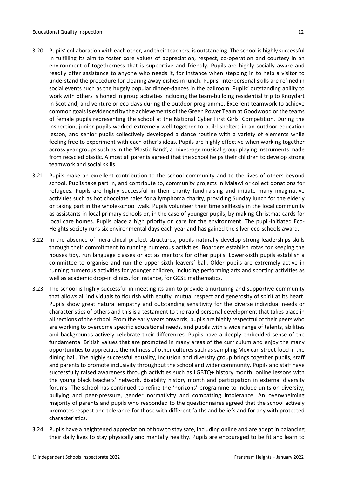- 3.20 Pupils' collaboration with each other, and their teachers, is outstanding. The school is highly successful in fulfilling its aim to foster core values of appreciation, respect, co-operation and courtesy in an environment of togetherness that is supportive and friendly. Pupils are highly socially aware and readily offer assistance to anyone who needs it, for instance when stepping in to help a visitor to understand the procedure for clearing away dishes in lunch. Pupils' interpersonal skills are refined in social events such as the hugely popular dinner-dances in the ballroom. Pupils' outstanding ability to work with others is honed in group activities including the team-building residential trip to Knoydart in Scotland, and venture or eco-days during the outdoor programme. Excellent teamwork to achieve common goals is evidenced by the achievements of the Green Power Team at Goodwood or the teams of female pupils representing the school at the National Cyber First Girls' Competition. During the inspection, junior pupils worked extremely well together to build shelters in an outdoor education lesson, and senior pupils collectively developed a dance routine with a variety of elements while feeling free to experiment with each other's ideas. Pupils are highly effective when working together across year groups such as in the 'Plastic Band', a mixed-age musical group playing instruments made from recycled plastic. Almost all parents agreed that the school helps their children to develop strong teamwork and social skills.
- 3.21 Pupils make an excellent contribution to the school community and to the lives of others beyond school. Pupils take part in, and contribute to, community projects in Malawi or collect donations for refugees. Pupils are highly successful in their charity fund-raising and initiate many imaginative activities such as hot chocolate sales for a lymphoma charity, providing Sunday lunch for the elderly or taking part in the whole-school walk. Pupils volunteer their time selflessly in the local community as assistants in local primary schools or, in the case of younger pupils, by making Christmas cards for local care homes. Pupils place a high priority on care for the environment. The pupil-initiated Eco-Heights society runs six environmental days each year and has gained the silver eco-schools award.
- 3.22 In the absence of hierarchical prefect structures, pupils naturally develop strong leaderships skills through their commitment to running numerous activities. Boarders establish rotas for keeping the houses tidy, run language classes or act as mentors for other pupils. Lower-sixth pupils establish a committee to organise and run the upper-sixth leavers' ball. Older pupils are extremely active in running numerous activities for younger children, including performing arts and sporting activities as well as academic drop-in clinics, for instance, for GCSE mathematics.
- 3.23 The school is highly successful in meeting its aim to provide a nurturing and supportive community that allows all individuals to flourish with equity, mutual respect and generosity of spirit at its heart. Pupils show great natural empathy and outstanding sensitivity for the diverse individual needs or characteristics of others and this is a testament to the rapid personal development that takes place in all sections of the school. From the early years onwards, pupils are highly respectful of their peers who are working to overcome specific educational needs, and pupils with a wide range of talents, abilities and backgrounds actively celebrate their differences. Pupils have a deeply embedded sense of the fundamental British values that are promoted in many areas of the curriculum and enjoy the many opportunities to appreciate the richness of other cultures such as sampling Mexican street food in the dining hall. The highly successful equality, inclusion and diversity group brings together pupils, staff and parents to promote inclusivity throughout the school and wider community. Pupils and staff have successfully raised awareness through activities such as LGBTQ+ history month, online lessons with the young black teachers' network, disability history month and participation in external diversity forums. The school has continued to refine the 'horizons' programme to include units on diversity, bullying and peer-pressure, gender normativity and combatting intolerance. An overwhelming majority of parents and pupils who responded to the questionnaires agreed that the school actively promotes respect and tolerance for those with different faiths and beliefs and for any with protected characteristics.
- 3.24 Pupils have a heightened appreciation of how to stay safe, including online and are adept in balancing their daily lives to stay physically and mentally healthy. Pupils are encouraged to be fit and learn to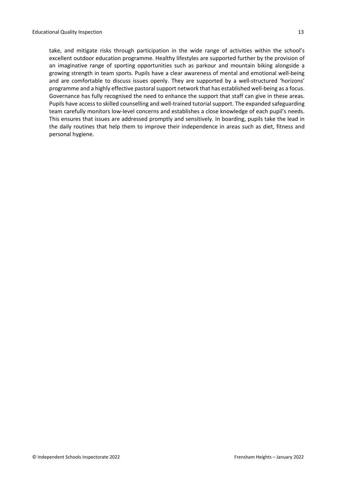take, and mitigate risks through participation in the wide range of activities within the school's excellent outdoor education programme. Healthy lifestyles are supported further by the provision of an imaginative range of sporting opportunities such as parkour and mountain biking alongside a growing strength in team sports. Pupils have a clear awareness of mental and emotional well-being and are comfortable to discuss issues openly. They are supported by a well-structured 'horizons' programme and a highly effective pastoral support network that has established well-being as a focus. Governance has fully recognised the need to enhance the support that staff can give in these areas. Pupils have access to skilled counselling and well-trained tutorial support. The expanded safeguarding team carefully monitors low-level concerns and establishes a close knowledge of each pupil's needs. This ensures that issues are addressed promptly and sensitively. In boarding, pupils take the lead in the daily routines that help them to improve their independence in areas such as diet, fitness and personal hygiene.